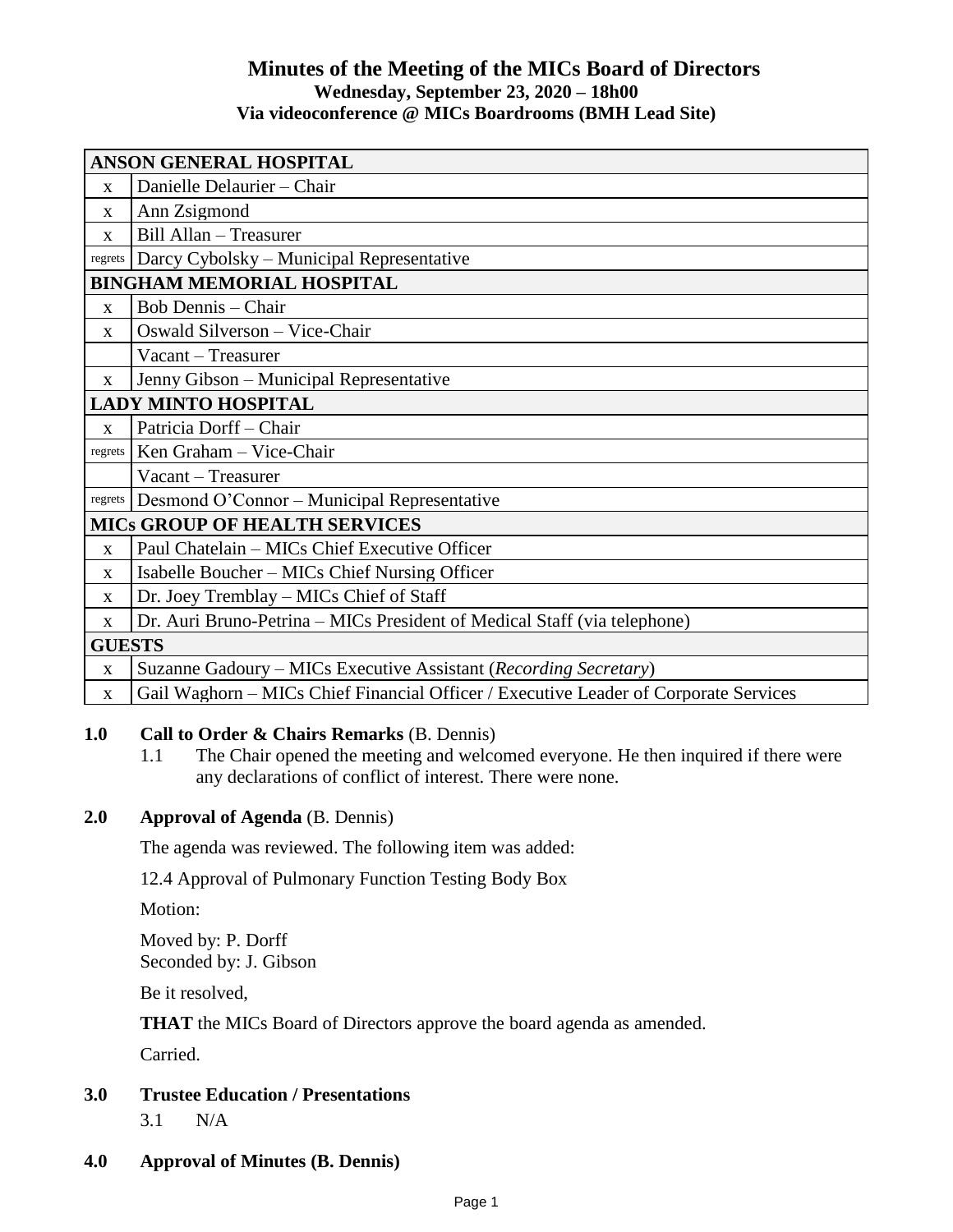## **Minutes of the Meeting of the MICs Board of Directors Wednesday, September 23, 2020 – 18h00 Via videoconference @ MICs Boardrooms (BMH Lead Site)**

| <b>ANSON GENERAL HOSPITAL</b>        |                                                                                      |
|--------------------------------------|--------------------------------------------------------------------------------------|
| $\mathbf{x}$                         | Danielle Delaurier - Chair                                                           |
| X                                    | Ann Zsigmond                                                                         |
| X                                    | Bill Allan - Treasurer                                                               |
| regrets                              | Darcy Cybolsky – Municipal Representative                                            |
| <b>BINGHAM MEMORIAL HOSPITAL</b>     |                                                                                      |
| $\mathbf{X}$                         | <b>Bob Dennis</b> – Chair                                                            |
| $\mathbf X$                          | Oswald Silverson - Vice-Chair                                                        |
|                                      | Vacant – Treasurer                                                                   |
| $\mathbf{X}$                         | Jenny Gibson – Municipal Representative                                              |
| <b>LADY MINTO HOSPITAL</b>           |                                                                                      |
| $\mathbf{x}$                         | Patricia Dorff - Chair                                                               |
| regrets                              | Ken Graham - Vice-Chair                                                              |
|                                      | Vacant - Treasurer                                                                   |
| regrets                              | Desmond O'Connor – Municipal Representative                                          |
| <b>MICS GROUP OF HEALTH SERVICES</b> |                                                                                      |
| $\mathbf{x}$                         | Paul Chatelain - MICs Chief Executive Officer                                        |
| $\mathbf{x}$                         | Isabelle Boucher – MICs Chief Nursing Officer                                        |
| X                                    | Dr. Joey Tremblay - MICs Chief of Staff                                              |
| X                                    | Dr. Auri Bruno-Petrina - MICs President of Medical Staff (via telephone)             |
| <b>GUESTS</b>                        |                                                                                      |
| X                                    | Suzanne Gadoury – MICs Executive Assistant (Recording Secretary)                     |
| X                                    | Gail Waghorn – MICs Chief Financial Officer / Executive Leader of Corporate Services |

## **1.0 Call to Order & Chairs Remarks** (B. Dennis)

1.1 The Chair opened the meeting and welcomed everyone. He then inquired if there were any declarations of conflict of interest. There were none.

## **2.0 Approval of Agenda** (B. Dennis)

The agenda was reviewed. The following item was added:

12.4 Approval of Pulmonary Function Testing Body Box

Motion:

Moved by: P. Dorff Seconded by: J. Gibson

Be it resolved,

**THAT** the MICs Board of Directors approve the board agenda as amended.

Carried.

# **3.0 Trustee Education / Presentations**

3.1 N/A

# **4.0 Approval of Minutes (B. Dennis)**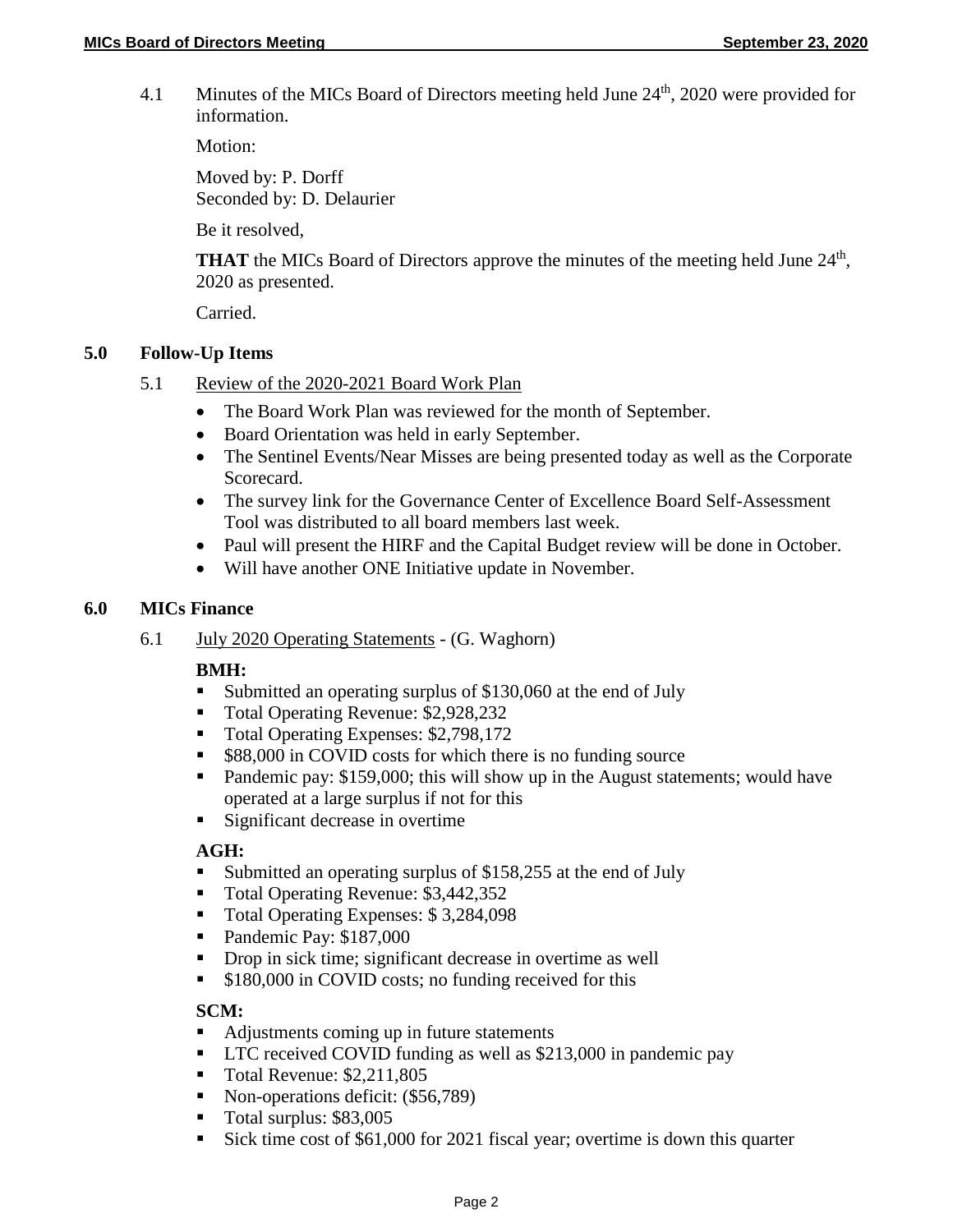4.1 Minutes of the MICs Board of Directors meeting held June 24<sup>th</sup>, 2020 were provided for information.

Motion:

Moved by: P. Dorff Seconded by: D. Delaurier

Be it resolved,

**THAT** the MICs Board of Directors approve the minutes of the meeting held June 24<sup>th</sup>, 2020 as presented.

Carried.

#### **5.0 Follow-Up Items**

- 5.1 Review of the 2020-2021 Board Work Plan
	- The Board Work Plan was reviewed for the month of September.
	- Board Orientation was held in early September.
	- The Sentinel Events/Near Misses are being presented today as well as the Corporate Scorecard.
	- The survey link for the Governance Center of Excellence Board Self-Assessment Tool was distributed to all board members last week.
	- Paul will present the HIRF and the Capital Budget review will be done in October.
	- Will have another ONE Initiative update in November.

#### **6.0 MICs Finance**

6.1 July 2020 Operating Statements - (G. Waghorn)

## **BMH:**

- Submitted an operating surplus of \$130,060 at the end of July
- Total Operating Revenue: \$2,928,232
- Total Operating Expenses: \$2,798,172
- \$88,000 in COVID costs for which there is no funding source
- Pandemic pay: \$159,000; this will show up in the August statements; would have operated at a large surplus if not for this
- **Significant decrease in overtime**

## **AGH:**

- Submitted an operating surplus of \$158,255 at the end of July
- Total Operating Revenue: \$3,442,352
- Total Operating Expenses: \$3,284,098
- Pandemic Pay: \$187,000
- Drop in sick time; significant decrease in overtime as well
- **\$180,000 in COVID costs; no funding received for this**

## **SCM:**

- Adjustments coming up in future statements
- **LTC** received COVID funding as well as \$213,000 in pandemic pay
- Total Revenue: \$2,211,805
- Non-operations deficit: (\$56,789)
- Total surplus: \$83,005
- Sick time cost of \$61,000 for 2021 fiscal year; overtime is down this quarter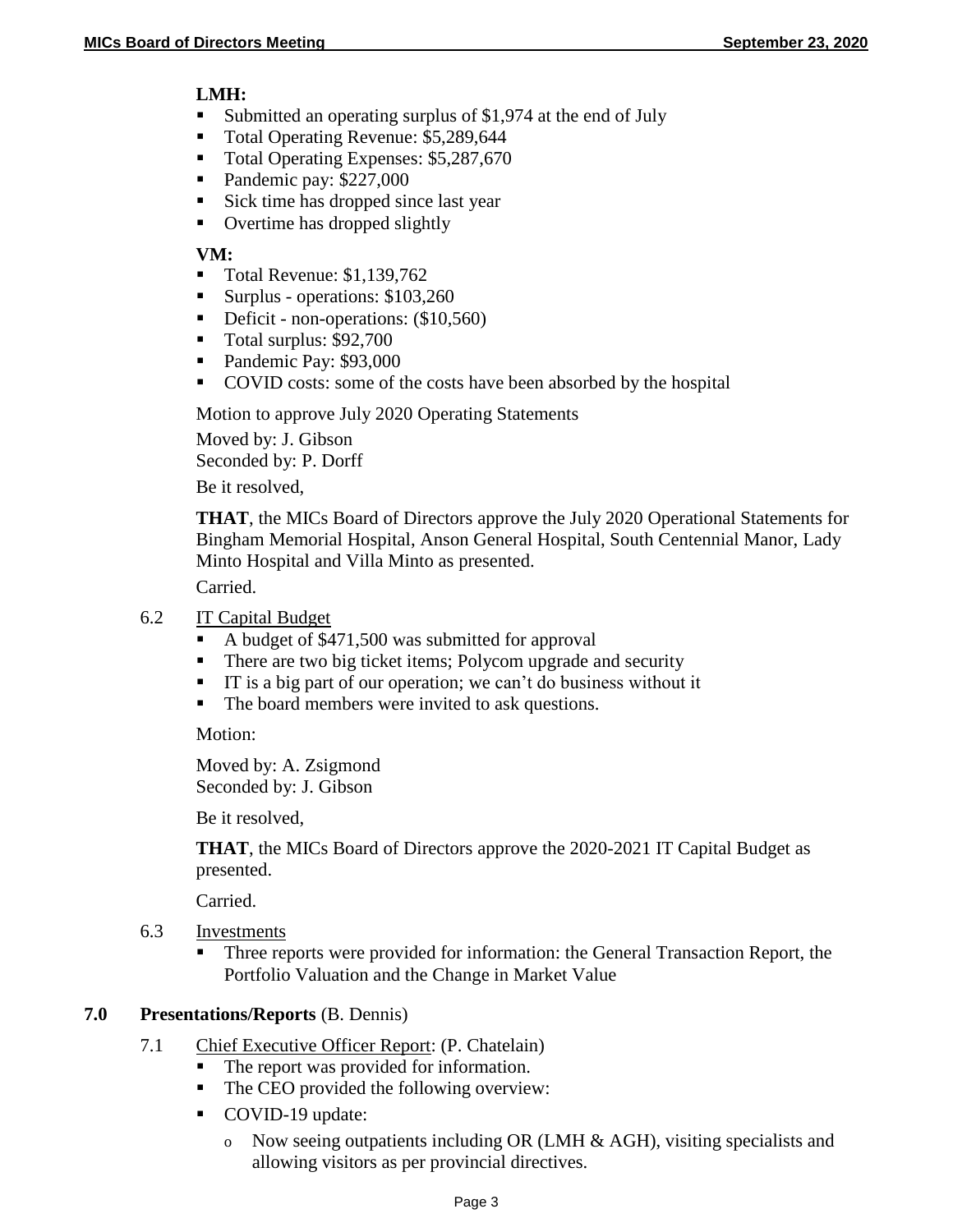#### **LMH:**

- Submitted an operating surplus of \$1,974 at the end of July
- Total Operating Revenue: \$5,289,644<br>Total Operating Expenses: \$5,287,670
- Total Operating Expenses: \$5,287,670
- Pandemic pay: \$227,000
- Sick time has dropped since last year
- Overtime has dropped slightly

## **VM:**

- Total Revenue: \$1,139,762
- Surplus operations:  $$103,260$
- Deficit non-operations: (\$10,560)
- Total surplus: \$92,700
- Pandemic Pay: \$93,000
- COVID costs: some of the costs have been absorbed by the hospital

Motion to approve July 2020 Operating Statements

Moved by: J. Gibson Seconded by: P. Dorff

Be it resolved,

**THAT**, the MICs Board of Directors approve the July 2020 Operational Statements for Bingham Memorial Hospital, Anson General Hospital, South Centennial Manor, Lady Minto Hospital and Villa Minto as presented.

Carried.

## 6.2 IT Capital Budget

- A budget of \$471,500 was submitted for approval
- There are two big ticket items; Polycom upgrade and security
- IT is a big part of our operation; we can't do business without it
- The board members were invited to ask questions.

Motion:

Moved by: A. Zsigmond Seconded by: J. Gibson

Be it resolved,

**THAT**, the MICs Board of Directors approve the 2020-2021 IT Capital Budget as presented.

Carried.

- 6.3 Investments
	- Three reports were provided for information: the General Transaction Report, the Portfolio Valuation and the Change in Market Value

## **7.0 Presentations/Reports** (B. Dennis)

- 7.1 Chief Executive Officer Report: (P. Chatelain)
	- The report was provided for information.
	- The CEO provided the following overview:
	- COVID-19 update:
		- o Now seeing outpatients including OR (LMH & AGH), visiting specialists and allowing visitors as per provincial directives.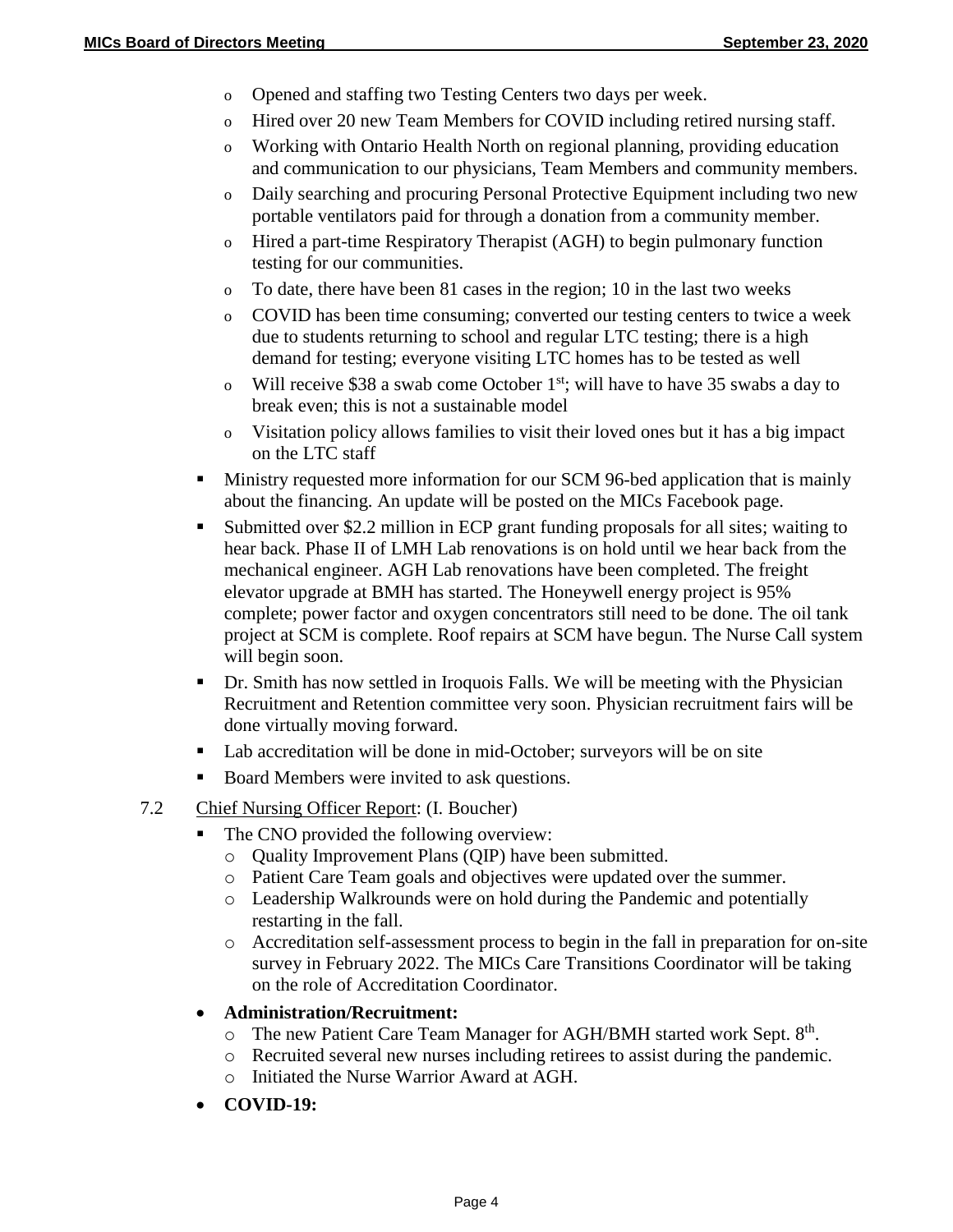- o Opened and staffing two Testing Centers two days per week.
- o Hired over 20 new Team Members for COVID including retired nursing staff.
- o Working with Ontario Health North on regional planning, providing education and communication to our physicians, Team Members and community members.
- o Daily searching and procuring Personal Protective Equipment including two new portable ventilators paid for through a donation from a community member.
- o Hired a part-time Respiratory Therapist (AGH) to begin pulmonary function testing for our communities.
- o To date, there have been 81 cases in the region; 10 in the last two weeks
- o COVID has been time consuming; converted our testing centers to twice a week due to students returning to school and regular LTC testing; there is a high demand for testing; everyone visiting LTC homes has to be tested as well
- o Will receive \$38 a swab come October  $1<sup>st</sup>$ ; will have to have 35 swabs a day to break even; this is not a sustainable model
- o Visitation policy allows families to visit their loved ones but it has a big impact on the LTC staff
- **Ministry requested more information for our SCM 96-bed application that is mainly** about the financing. An update will be posted on the MICs Facebook page.
- Submitted over \$2.2 million in ECP grant funding proposals for all sites; waiting to hear back. Phase II of LMH Lab renovations is on hold until we hear back from the mechanical engineer. AGH Lab renovations have been completed. The freight elevator upgrade at BMH has started. The Honeywell energy project is 95% complete; power factor and oxygen concentrators still need to be done. The oil tank project at SCM is complete. Roof repairs at SCM have begun. The Nurse Call system will begin soon.
- Dr. Smith has now settled in Iroquois Falls. We will be meeting with the Physician Recruitment and Retention committee very soon. Physician recruitment fairs will be done virtually moving forward.
- Lab accreditation will be done in mid-October; surveyors will be on site
- Board Members were invited to ask questions.

## 7.2 Chief Nursing Officer Report: (I. Boucher)

- The CNO provided the following overview:
	- o Quality Improvement Plans (QIP) have been submitted.
	- o Patient Care Team goals and objectives were updated over the summer.
	- o Leadership Walkrounds were on hold during the Pandemic and potentially restarting in the fall.
	- o Accreditation self-assessment process to begin in the fall in preparation for on-site survey in February 2022. The MICs Care Transitions Coordinator will be taking on the role of Accreditation Coordinator.

## **Administration/Recruitment:**

- o The new Patient Care Team Manager for AGH/BMH started work Sept. 8<sup>th</sup>.
- o Recruited several new nurses including retirees to assist during the pandemic.
- o Initiated the Nurse Warrior Award at AGH.
- **COVID-19:**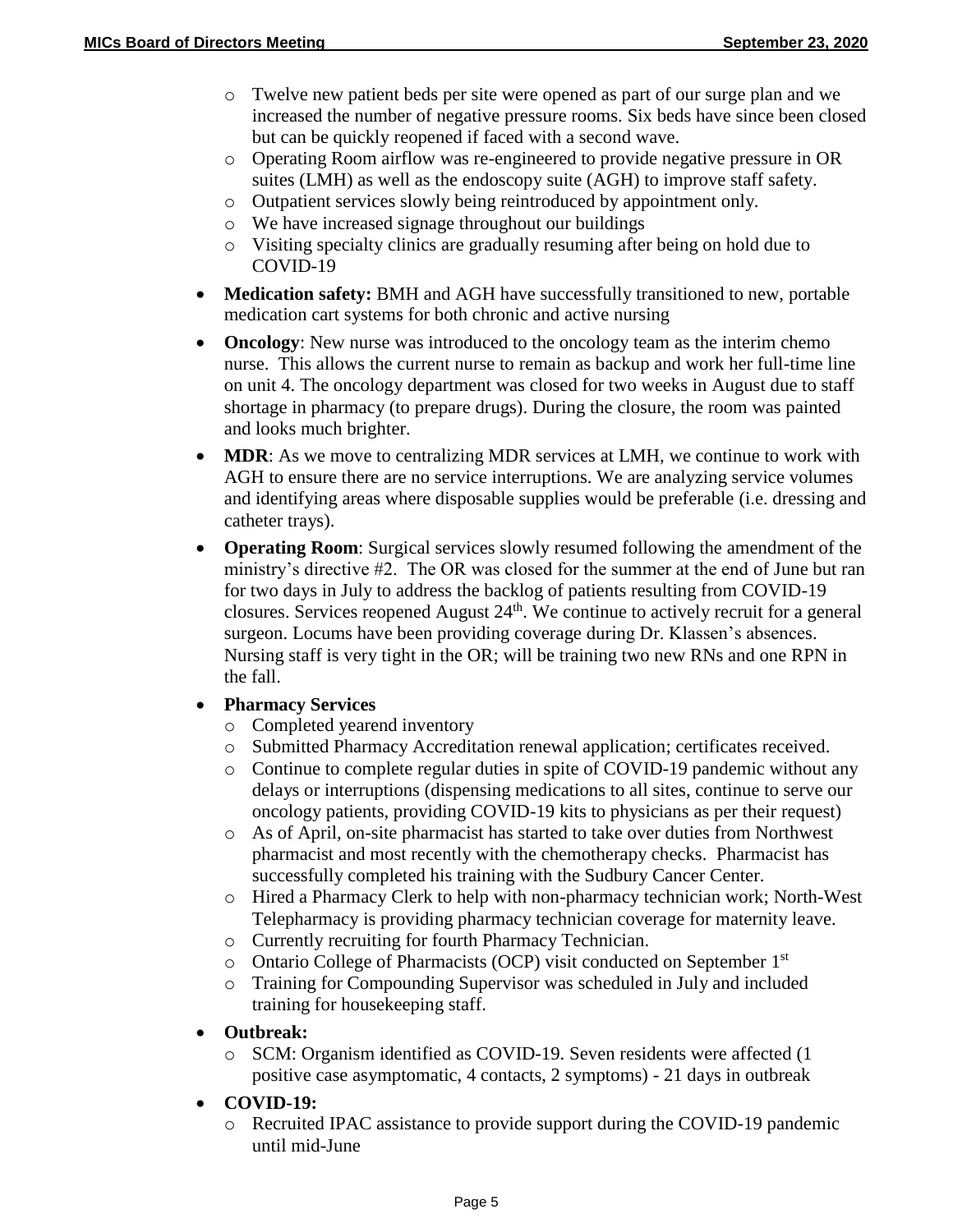- o Twelve new patient beds per site were opened as part of our surge plan and we increased the number of negative pressure rooms. Six beds have since been closed but can be quickly reopened if faced with a second wave.
- o Operating Room airflow was re-engineered to provide negative pressure in OR suites (LMH) as well as the endoscopy suite (AGH) to improve staff safety.
- o Outpatient services slowly being reintroduced by appointment only.
- o We have increased signage throughout our buildings
- o Visiting specialty clinics are gradually resuming after being on hold due to COVID-19
- **Medication safety:** BMH and AGH have successfully transitioned to new, portable medication cart systems for both chronic and active nursing
- **Oncology**: New nurse was introduced to the oncology team as the interim chemo nurse. This allows the current nurse to remain as backup and work her full-time line on unit 4. The oncology department was closed for two weeks in August due to staff shortage in pharmacy (to prepare drugs). During the closure, the room was painted and looks much brighter.
- **MDR**: As we move to centralizing MDR services at LMH, we continue to work with AGH to ensure there are no service interruptions. We are analyzing service volumes and identifying areas where disposable supplies would be preferable (i.e. dressing and catheter trays).
- **Operating Room**: Surgical services slowly resumed following the amendment of the ministry's directive #2. The OR was closed for the summer at the end of June but ran for two days in July to address the backlog of patients resulting from COVID-19 closures. Services reopened August  $24<sup>th</sup>$ . We continue to actively recruit for a general surgeon. Locums have been providing coverage during Dr. Klassen's absences. Nursing staff is very tight in the OR; will be training two new RNs and one RPN in the fall.
- **Pharmacy Services** 
	- o Completed yearend inventory
	- o Submitted Pharmacy Accreditation renewal application; certificates received.
	- o Continue to complete regular duties in spite of COVID-19 pandemic without any delays or interruptions (dispensing medications to all sites, continue to serve our oncology patients, providing COVID-19 kits to physicians as per their request)
	- o As of April, on-site pharmacist has started to take over duties from Northwest pharmacist and most recently with the chemotherapy checks. Pharmacist has successfully completed his training with the Sudbury Cancer Center.
	- o Hired a Pharmacy Clerk to help with non-pharmacy technician work; North-West Telepharmacy is providing pharmacy technician coverage for maternity leave.
	- o Currently recruiting for fourth Pharmacy Technician.
	- o Ontario College of Pharmacists (OCP) visit conducted on September 1<sup>st</sup>
	- o Training for Compounding Supervisor was scheduled in July and included training for housekeeping staff.
- **Outbreak:**
	- o SCM: Organism identified as COVID-19. Seven residents were affected (1 positive case asymptomatic, 4 contacts, 2 symptoms) - 21 days in outbreak
- **COVID-19:**
	- o Recruited IPAC assistance to provide support during the COVID-19 pandemic until mid-June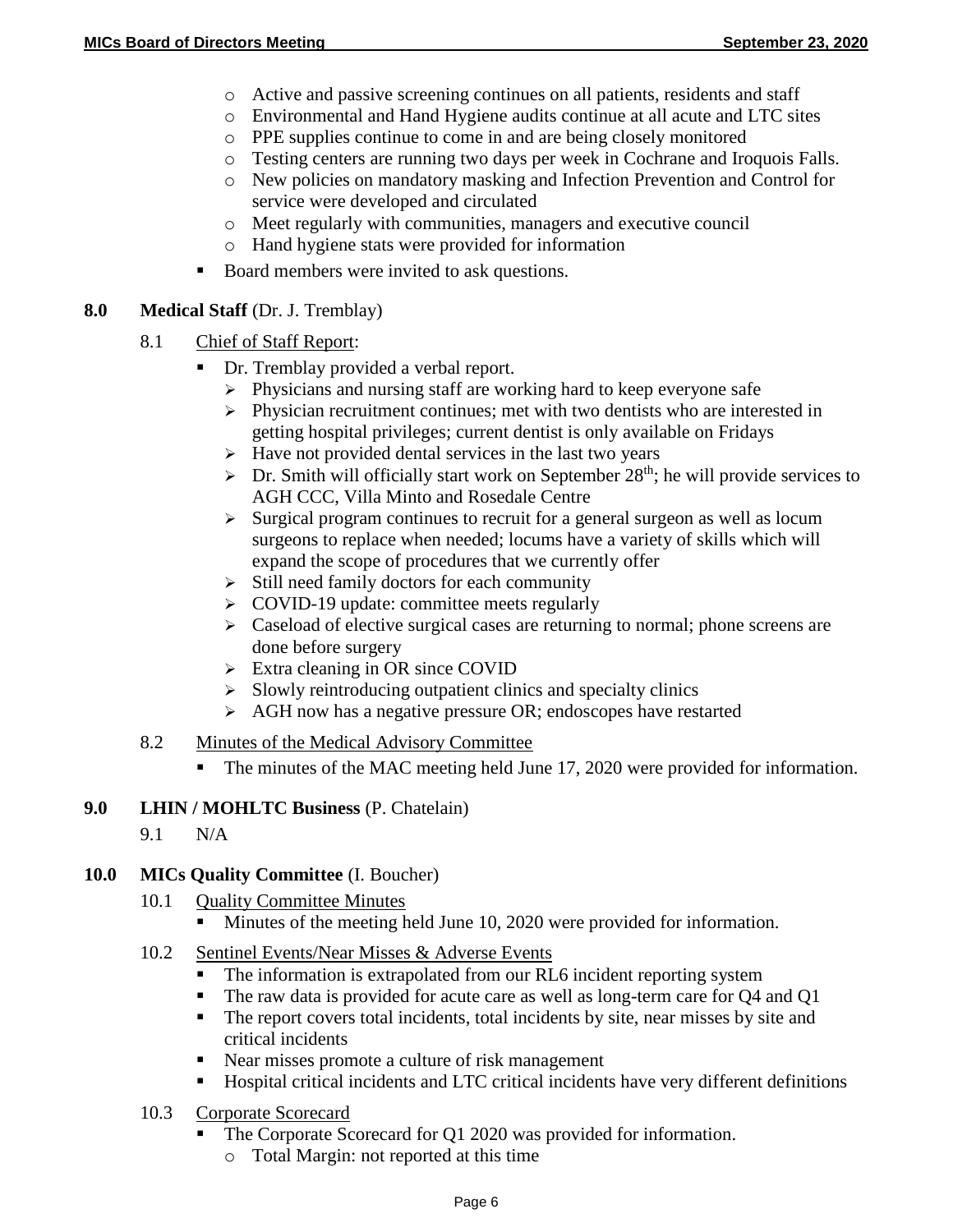- o Active and passive screening continues on all patients, residents and staff
- o Environmental and Hand Hygiene audits continue at all acute and LTC sites
- o PPE supplies continue to come in and are being closely monitored
- o Testing centers are running two days per week in Cochrane and Iroquois Falls.
- o New policies on mandatory masking and Infection Prevention and Control for service were developed and circulated
- o Meet regularly with communities, managers and executive council
- o Hand hygiene stats were provided for information
- Board members were invited to ask questions.

## **8.0 Medical Staff** (Dr. J. Tremblay)

- 8.1 Chief of Staff Report:
	- Dr. Tremblay provided a verbal report.
		- $\triangleright$  Physicians and nursing staff are working hard to keep everyone safe
		- $\triangleright$  Physician recruitment continues; met with two dentists who are interested in getting hospital privileges; current dentist is only available on Fridays
		- $\triangleright$  Have not provided dental services in the last two years
		- $\triangleright$  Dr. Smith will officially start work on September 28<sup>th</sup>; he will provide services to AGH CCC, Villa Minto and Rosedale Centre
		- $\triangleright$  Surgical program continues to recruit for a general surgeon as well as locum surgeons to replace when needed; locums have a variety of skills which will expand the scope of procedures that we currently offer
		- $\triangleright$  Still need family doctors for each community
		- $\geq$  COVID-19 update: committee meets regularly
		- $\geq$  Caseload of elective surgical cases are returning to normal; phone screens are done before surgery
		- $\triangleright$  Extra cleaning in OR since COVID
		- $\triangleright$  Slowly reintroducing outpatient clinics and specialty clinics
		- $\triangleright$  AGH now has a negative pressure OR; endoscopes have restarted
- 8.2 Minutes of the Medical Advisory Committee
	- The minutes of the MAC meeting held June 17, 2020 were provided for information.

## **9.0 LHIN / MOHLTC Business** (P. Chatelain)

9.1 N/A

## **10.0 MICs Quality Committee** (I. Boucher)

- 10.1 Ouality Committee Minutes
	- Minutes of the meeting held June 10, 2020 were provided for information.
- 10.2 Sentinel Events/Near Misses & Adverse Events
	- The information is extrapolated from our RL6 incident reporting system<br>■ The raw data is provided for acute care as well as long-term care for O4 i
	- The raw data is provided for acute care as well as long-term care for Q4 and Q1
	- The report covers total incidents, total incidents by site, near misses by site and critical incidents
	- Near misses promote a culture of risk management
	- Hospital critical incidents and LTC critical incidents have very different definitions
- 10.3 Corporate Scorecard
	- The Corporate Scorecard for Q1 2020 was provided for information.
		- o Total Margin: not reported at this time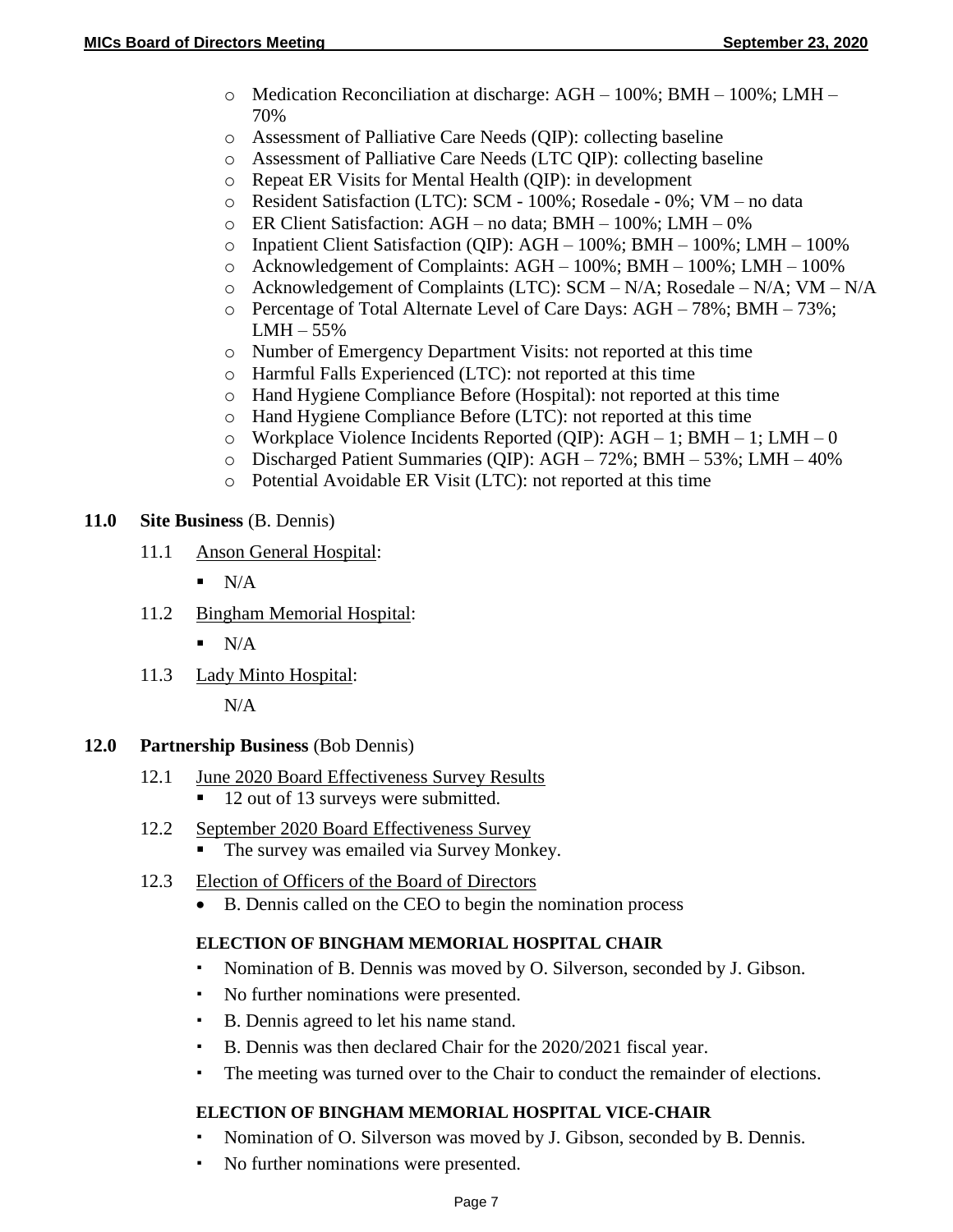- o Medication Reconciliation at discharge: AGH 100%; BMH 100%; LMH 70%
- o Assessment of Palliative Care Needs (QIP): collecting baseline
- o Assessment of Palliative Care Needs (LTC QIP): collecting baseline
- o Repeat ER Visits for Mental Health (QIP): in development
- o Resident Satisfaction (LTC): SCM 100%; Rosedale 0%; VM no data
- o ER Client Satisfaction: AGH no data; BMH 100%; LMH 0%
- o Inpatient Client Satisfaction (QIP): AGH 100%; BMH 100%; LMH 100%
- o Acknowledgement of Complaints: AGH 100%; BMH 100%; LMH 100%
- o Acknowledgement of Complaints (LTC): SCM N/A; Rosedale N/A; VM N/A
- $\circ$  Percentage of Total Alternate Level of Care Days: AGH 78%; BMH 73%;  $LMH - 55%$
- o Number of Emergency Department Visits: not reported at this time
- o Harmful Falls Experienced (LTC): not reported at this time
- o Hand Hygiene Compliance Before (Hospital): not reported at this time
- o Hand Hygiene Compliance Before (LTC): not reported at this time
- o Workplace Violence Incidents Reported (QIP): AGH 1; BMH 1; LMH 0
- o Discharged Patient Summaries (QIP): AGH 72%; BMH 53%; LMH 40%
- o Potential Avoidable ER Visit (LTC): not reported at this time

## **11.0 Site Business** (B. Dennis)

- 11.1 Anson General Hospital:
	- $\blacksquare$  N/A
- 11.2 Bingham Memorial Hospital:
	- $\blacksquare$  N/A
- 11.3 Lady Minto Hospital:

 $N/A$ 

## **12.0 Partnership Business** (Bob Dennis)

- 12.1 June 2020 Board Effectiveness Survey Results
	- 12 out of 13 surveys were submitted.
- 12.2 September 2020 Board Effectiveness Survey
	- The survey was emailed via Survey Monkey.
- 12.3 Election of Officers of the Board of Directors
	- B. Dennis called on the CEO to begin the nomination process

## **ELECTION OF BINGHAM MEMORIAL HOSPITAL CHAIR**

- Nomination of B. Dennis was moved by O. Silverson, seconded by J. Gibson.
- No further nominations were presented.
- B. Dennis agreed to let his name stand.
- B. Dennis was then declared Chair for the 2020/2021 fiscal year.
- The meeting was turned over to the Chair to conduct the remainder of elections.

# **ELECTION OF BINGHAM MEMORIAL HOSPITAL VICE-CHAIR**

- Nomination of O. Silverson was moved by J. Gibson, seconded by B. Dennis.
- No further nominations were presented.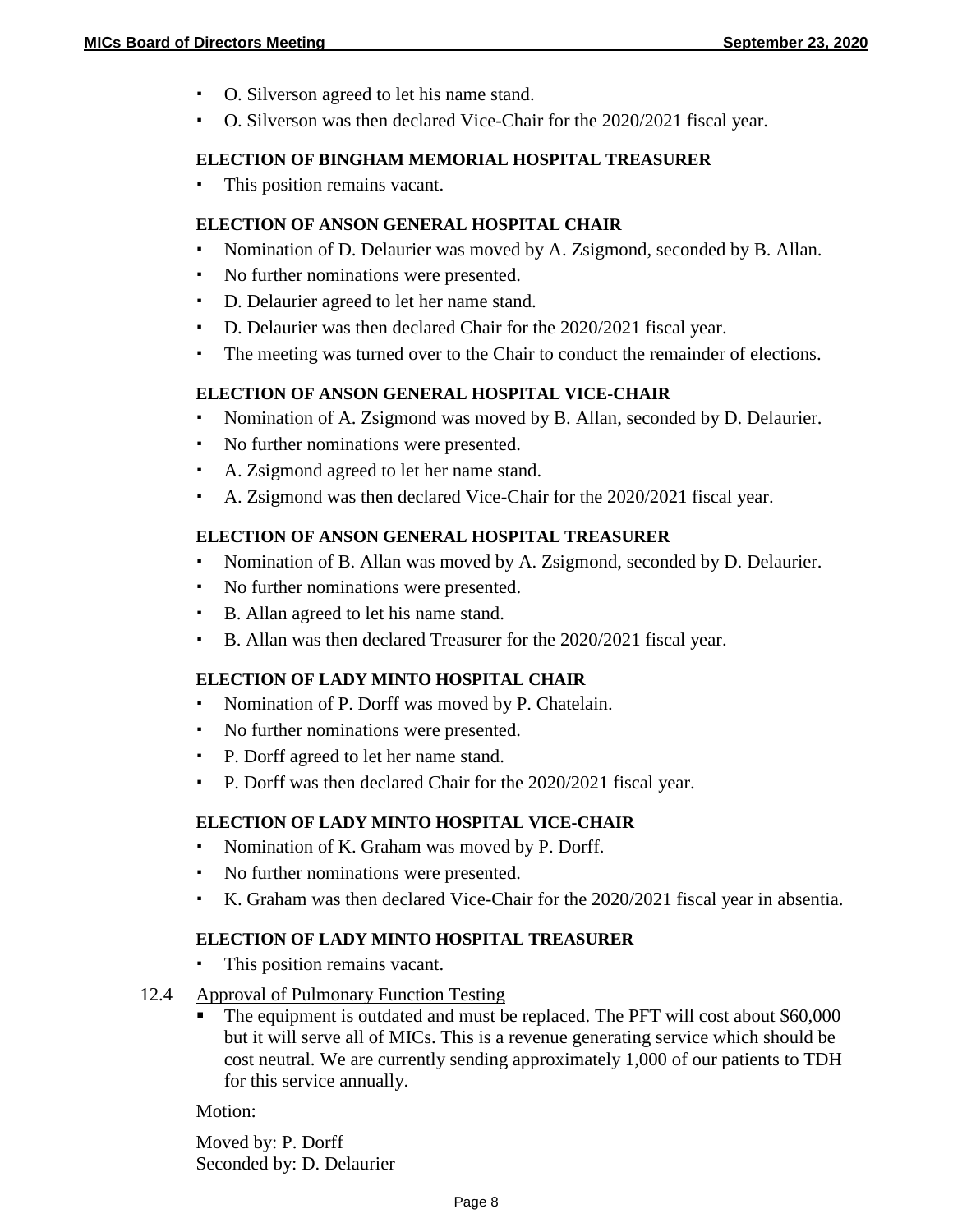- O. Silverson agreed to let his name stand.
- O. Silverson was then declared Vice-Chair for the 2020/2021 fiscal year.

#### **ELECTION OF BINGHAM MEMORIAL HOSPITAL TREASURER**

This position remains vacant.

#### **ELECTION OF ANSON GENERAL HOSPITAL CHAIR**

- Nomination of D. Delaurier was moved by A. Zsigmond, seconded by B. Allan.
- No further nominations were presented.
- D. Delaurier agreed to let her name stand.
- D. Delaurier was then declared Chair for the 2020/2021 fiscal year.
- The meeting was turned over to the Chair to conduct the remainder of elections.

#### **ELECTION OF ANSON GENERAL HOSPITAL VICE-CHAIR**

- Nomination of A. Zsigmond was moved by B. Allan, seconded by D. Delaurier.
- No further nominations were presented.
- A. Zsigmond agreed to let her name stand.
- A. Zsigmond was then declared Vice-Chair for the 2020/2021 fiscal year.

#### **ELECTION OF ANSON GENERAL HOSPITAL TREASURER**

- Nomination of B. Allan was moved by A. Zsigmond, seconded by D. Delaurier.
- No further nominations were presented.
- B. Allan agreed to let his name stand.
- B. Allan was then declared Treasurer for the 2020/2021 fiscal year.

## **ELECTION OF LADY MINTO HOSPITAL CHAIR**

- Nomination of P. Dorff was moved by P. Chatelain.
- No further nominations were presented.
- P. Dorff agreed to let her name stand.
- P. Dorff was then declared Chair for the 2020/2021 fiscal year.

## **ELECTION OF LADY MINTO HOSPITAL VICE-CHAIR**

- Nomination of K. Graham was moved by P. Dorff.
- No further nominations were presented.
- K. Graham was then declared Vice-Chair for the 2020/2021 fiscal year in absentia.

#### **ELECTION OF LADY MINTO HOSPITAL TREASURER**

This position remains vacant.

#### 12.4 Approval of Pulmonary Function Testing

 The equipment is outdated and must be replaced. The PFT will cost about \$60,000 but it will serve all of MICs. This is a revenue generating service which should be cost neutral. We are currently sending approximately 1,000 of our patients to TDH for this service annually.

Motion:

Moved by: P. Dorff Seconded by: D. Delaurier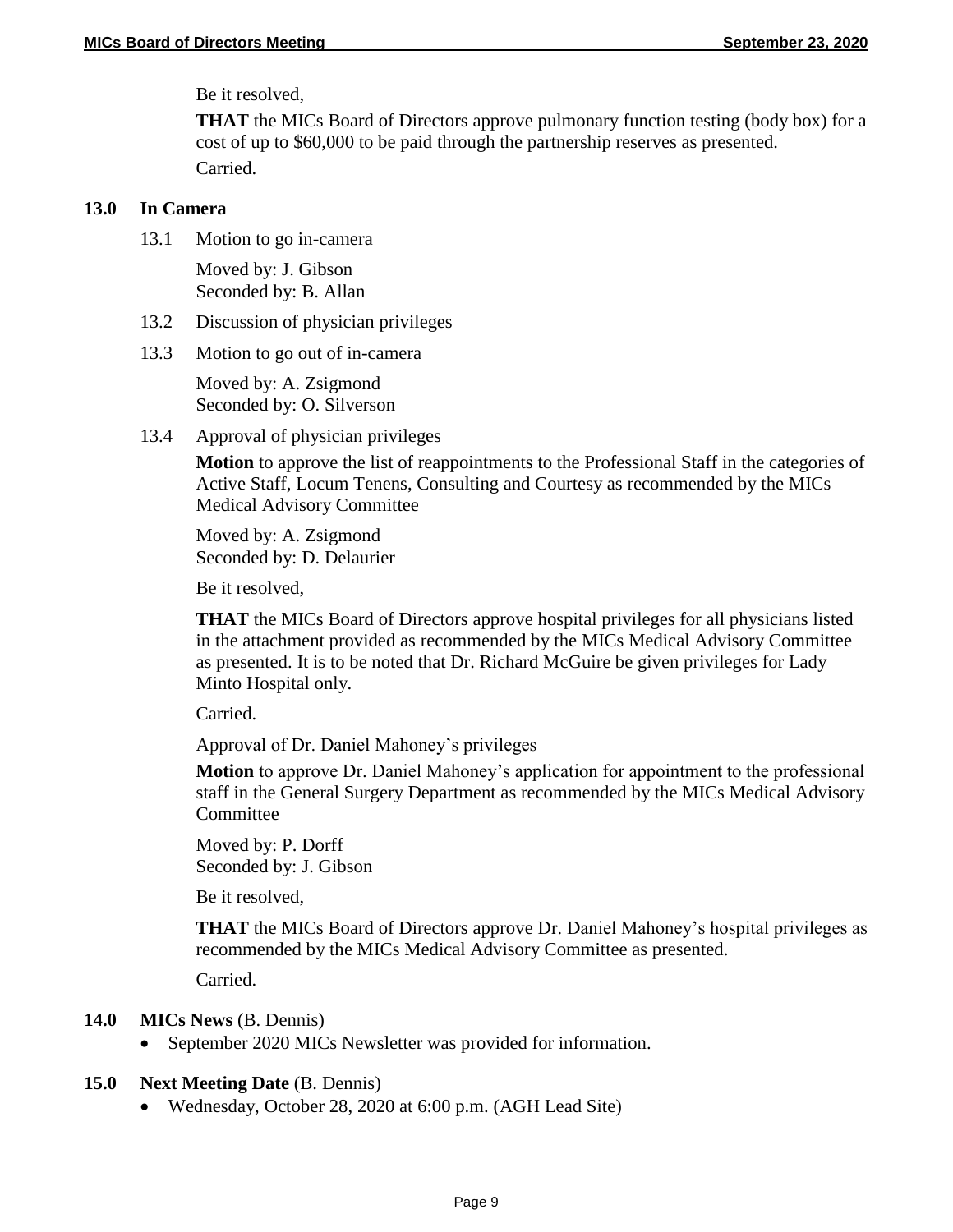Be it resolved,

**THAT** the MICs Board of Directors approve pulmonary function testing (body box) for a cost of up to \$60,000 to be paid through the partnership reserves as presented. Carried.

#### **13.0 In Camera**

13.1 Motion to go in-camera

Moved by: J. Gibson Seconded by: B. Allan

- 13.2 Discussion of physician privileges
- 13.3 Motion to go out of in-camera

Moved by: A. Zsigmond Seconded by: O. Silverson

13.4 Approval of physician privileges

**Motion** to approve the list of reappointments to the Professional Staff in the categories of Active Staff, Locum Tenens, Consulting and Courtesy as recommended by the MICs Medical Advisory Committee

Moved by: A. Zsigmond Seconded by: D. Delaurier

Be it resolved,

**THAT** the MICs Board of Directors approve hospital privileges for all physicians listed in the attachment provided as recommended by the MICs Medical Advisory Committee as presented. It is to be noted that Dr. Richard McGuire be given privileges for Lady Minto Hospital only.

Carried.

Approval of Dr. Daniel Mahoney's privileges

**Motion** to approve Dr. Daniel Mahoney's application for appointment to the professional staff in the General Surgery Department as recommended by the MICs Medical Advisory **Committee** 

Moved by: P. Dorff Seconded by: J. Gibson

Be it resolved,

**THAT** the MICs Board of Directors approve Dr. Daniel Mahoney's hospital privileges as recommended by the MICs Medical Advisory Committee as presented.

Carried.

## **14.0 MICs News** (B. Dennis)

• September 2020 MICs Newsletter was provided for information.

#### **15.0 Next Meeting Date** (B. Dennis)

Wednesday, October 28, 2020 at 6:00 p.m. (AGH Lead Site)